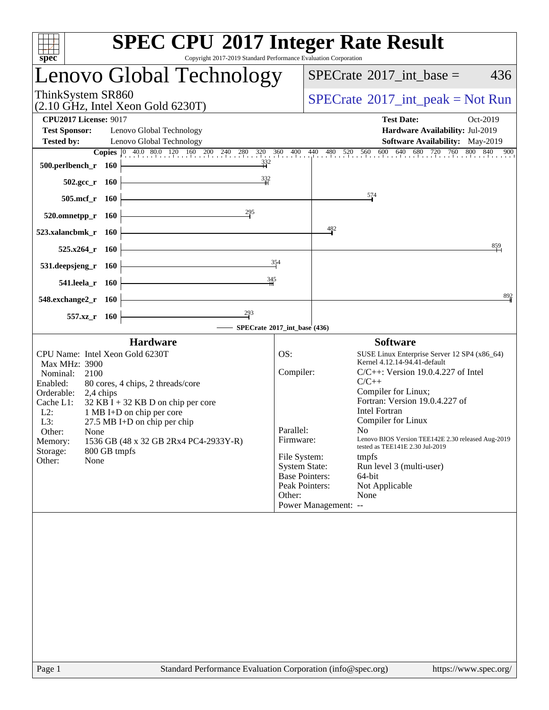| Copyright 2017-2019 Standard Performance Evaluation Corporation<br>spec <sup>®</sup>                                                                                                                                                                                                                                                                                                                                                | <b>SPEC CPU®2017 Integer Rate Result</b>                                                                                                                                                                                                                                                                                                                                                                                                                                                                                                                                                                                   |
|-------------------------------------------------------------------------------------------------------------------------------------------------------------------------------------------------------------------------------------------------------------------------------------------------------------------------------------------------------------------------------------------------------------------------------------|----------------------------------------------------------------------------------------------------------------------------------------------------------------------------------------------------------------------------------------------------------------------------------------------------------------------------------------------------------------------------------------------------------------------------------------------------------------------------------------------------------------------------------------------------------------------------------------------------------------------------|
| Lenovo Global Technology                                                                                                                                                                                                                                                                                                                                                                                                            | 436<br>$SPECrate^{\circ}2017\_int\_base =$                                                                                                                                                                                                                                                                                                                                                                                                                                                                                                                                                                                 |
| ThinkSystem SR860<br>$(2.10 \text{ GHz}, \text{Intel Xeon Gold } 6230 \text{T})$                                                                                                                                                                                                                                                                                                                                                    | $SPECrate^{\circledast}2017\_int\_peak = Not Run$                                                                                                                                                                                                                                                                                                                                                                                                                                                                                                                                                                          |
| <b>CPU2017 License: 9017</b><br><b>Test Sponsor:</b><br>Lenovo Global Technology<br><b>Tested by:</b><br>Lenovo Global Technology                                                                                                                                                                                                                                                                                                   | <b>Test Date:</b><br>Oct-2019<br>Hardware Availability: Jul-2019<br>Software Availability: May-2019<br><b>Copies</b> $\begin{bmatrix} 0 & 40.0 & 80.0 & 120 & 160 & 200 & 240 & 280 & 320 & 360 & 400 & 440 & 480 & 520 & 560 & 600 & 640 & 680 & 720 & 760 & 800 & 840 & 900 \end{bmatrix}$                                                                                                                                                                                                                                                                                                                               |
| $\frac{332}{11}$<br>500.perlbench_r 160<br>$\frac{332}{1}$<br>$502.\text{gcc}_r$ 160                                                                                                                                                                                                                                                                                                                                                |                                                                                                                                                                                                                                                                                                                                                                                                                                                                                                                                                                                                                            |
| 505.mcf_r 160                                                                                                                                                                                                                                                                                                                                                                                                                       | $\frac{574}{4}$                                                                                                                                                                                                                                                                                                                                                                                                                                                                                                                                                                                                            |
| $\frac{295}{1}$<br>520.omnetpp_r 160                                                                                                                                                                                                                                                                                                                                                                                                |                                                                                                                                                                                                                                                                                                                                                                                                                                                                                                                                                                                                                            |
| 523.xalancbmk_r<br><b>160</b>                                                                                                                                                                                                                                                                                                                                                                                                       | 482                                                                                                                                                                                                                                                                                                                                                                                                                                                                                                                                                                                                                        |
| $525.x264$ _r<br>- 160                                                                                                                                                                                                                                                                                                                                                                                                              | 859                                                                                                                                                                                                                                                                                                                                                                                                                                                                                                                                                                                                                        |
| 531.deepsjeng_r<br>- 160                                                                                                                                                                                                                                                                                                                                                                                                            | 354                                                                                                                                                                                                                                                                                                                                                                                                                                                                                                                                                                                                                        |
| 345<br>541.leela_r 160                                                                                                                                                                                                                                                                                                                                                                                                              |                                                                                                                                                                                                                                                                                                                                                                                                                                                                                                                                                                                                                            |
| 548.exchange2_r 160                                                                                                                                                                                                                                                                                                                                                                                                                 | 892                                                                                                                                                                                                                                                                                                                                                                                                                                                                                                                                                                                                                        |
| $\frac{293}{7}$<br>557.xz_r 160                                                                                                                                                                                                                                                                                                                                                                                                     | SPECrate®2017_int_base (436)                                                                                                                                                                                                                                                                                                                                                                                                                                                                                                                                                                                               |
| <b>Hardware</b><br>CPU Name: Intel Xeon Gold 6230T<br><b>Max MHz: 3900</b><br>Nominal:<br>2100<br>Enabled:<br>80 cores, 4 chips, 2 threads/core<br>Orderable:<br>2,4 chips<br>Cache L1:<br>$32$ KB I + 32 KB D on chip per core<br>$L2$ :<br>1 MB I+D on chip per core<br>L3:<br>$27.5$ MB I+D on chip per chip<br>Other:<br>None<br>1536 GB (48 x 32 GB 2Rx4 PC4-2933Y-R)<br>Memory:<br>Storage:<br>800 GB tmpfs<br>None<br>Other: | <b>Software</b><br>OS:<br>SUSE Linux Enterprise Server 12 SP4 (x86_64)<br>Kernel 4.12.14-94.41-default<br>Compiler:<br>$C/C++$ : Version 19.0.4.227 of Intel<br>$C/C++$<br>Compiler for Linux;<br>Fortran: Version 19.0.4.227 of<br><b>Intel Fortran</b><br>Compiler for Linux<br>Parallel:<br>No to the North States.<br>Lenovo BIOS Version TEE142E 2.30 released Aug-2019<br>Firmware:<br>tested as TEE141E 2.30 Jul-2019<br>File System:<br>tmpfs<br><b>System State:</b><br>Run level 3 (multi-user)<br><b>Base Pointers:</b><br>64-bit<br>Peak Pointers:<br>Not Applicable<br>Other:<br>None<br>Power Management: -- |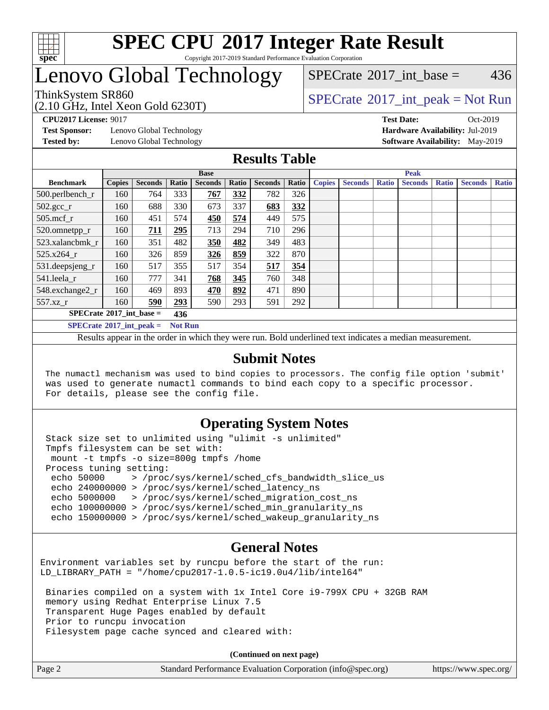

## **[SPEC CPU](http://www.spec.org/auto/cpu2017/Docs/result-fields.html#SPECCPU2017IntegerRateResult)[2017 Integer Rate Result](http://www.spec.org/auto/cpu2017/Docs/result-fields.html#SPECCPU2017IntegerRateResult)** Copyright 2017-2019 Standard Performance Evaluation Corporation

## Lenovo Global Technology

(2.10 GHz, Intel Xeon Gold 6230T)

ThinkSystem SR860<br>  $SPECTR_{10}$  [SPECrate](http://www.spec.org/auto/cpu2017/Docs/result-fields.html#SPECrate2017intpeak)®[2017\\_int\\_peak = N](http://www.spec.org/auto/cpu2017/Docs/result-fields.html#SPECrate2017intpeak)ot Run  $SPECTate$ <sup>®</sup>[2017\\_int\\_base =](http://www.spec.org/auto/cpu2017/Docs/result-fields.html#SPECrate2017intbase) 436

**[Test Sponsor:](http://www.spec.org/auto/cpu2017/Docs/result-fields.html#TestSponsor)** Lenovo Global Technology **[Hardware Availability:](http://www.spec.org/auto/cpu2017/Docs/result-fields.html#HardwareAvailability)** Jul-2019

**[CPU2017 License:](http://www.spec.org/auto/cpu2017/Docs/result-fields.html#CPU2017License)** 9017 **[Test Date:](http://www.spec.org/auto/cpu2017/Docs/result-fields.html#TestDate)** Oct-2019 **[Tested by:](http://www.spec.org/auto/cpu2017/Docs/result-fields.html#Testedby)** Lenovo Global Technology **[Software Availability:](http://www.spec.org/auto/cpu2017/Docs/result-fields.html#SoftwareAvailability)** May-2019

## **[Results Table](http://www.spec.org/auto/cpu2017/Docs/result-fields.html#ResultsTable)**

|                                                     |                                          |                |       | <b>Base</b>    |       |                |       |               |                | <b>Peak</b>  |                |              |                |              |
|-----------------------------------------------------|------------------------------------------|----------------|-------|----------------|-------|----------------|-------|---------------|----------------|--------------|----------------|--------------|----------------|--------------|
| <b>Benchmark</b>                                    | <b>Copies</b>                            | <b>Seconds</b> | Ratio | <b>Seconds</b> | Ratio | <b>Seconds</b> | Ratio | <b>Copies</b> | <b>Seconds</b> | <b>Ratio</b> | <b>Seconds</b> | <b>Ratio</b> | <b>Seconds</b> | <b>Ratio</b> |
| 500.perlbench_r                                     | 160                                      | 764            | 333   | 767            | 332   | 782            | 326   |               |                |              |                |              |                |              |
| $502.\text{gcc}_r$                                  | 160                                      | 688            | 330   | 673            | 337   | 683            | 332   |               |                |              |                |              |                |              |
| $505$ .mcf r                                        | 160                                      | 451            | 574   | 450            | 574   | 449            | 575   |               |                |              |                |              |                |              |
| 520.omnetpp_r                                       | 160                                      | 711            | 295   | 713            | 294   | 710            | 296   |               |                |              |                |              |                |              |
| 523.xalancbmk r                                     | 160                                      | 351            | 482   | 350            | 482   | 349            | 483   |               |                |              |                |              |                |              |
| 525.x264 r                                          | 160                                      | 326            | 859   | 326            | 859   | 322            | 870   |               |                |              |                |              |                |              |
| 531.deepsjeng_r                                     | 160.                                     | 517            | 355   | 517            | 354   | 517            | 354   |               |                |              |                |              |                |              |
| 541.leela r                                         | 160                                      | 777            | 341   | 768            | 345   | 760            | 348   |               |                |              |                |              |                |              |
| 548.exchange2_r                                     | 160                                      | 469            | 893   | 470            | 892   | 471            | 890   |               |                |              |                |              |                |              |
| 557.xz r                                            | 160                                      | 590            | 293   | 590            | 293   | 591            | 292   |               |                |              |                |              |                |              |
|                                                     | $SPECrate^{\circ}2017$ int base =<br>436 |                |       |                |       |                |       |               |                |              |                |              |                |              |
| $SPECrate^{\circ}2017$ int peak =<br><b>Not Run</b> |                                          |                |       |                |       |                |       |               |                |              |                |              |                |              |

Results appear in the [order in which they were run](http://www.spec.org/auto/cpu2017/Docs/result-fields.html#RunOrder). Bold underlined text [indicates a median measurement](http://www.spec.org/auto/cpu2017/Docs/result-fields.html#Median).

## **[Submit Notes](http://www.spec.org/auto/cpu2017/Docs/result-fields.html#SubmitNotes)**

 The numactl mechanism was used to bind copies to processors. The config file option 'submit' was used to generate numactl commands to bind each copy to a specific processor. For details, please see the config file.

## **[Operating System Notes](http://www.spec.org/auto/cpu2017/Docs/result-fields.html#OperatingSystemNotes)**

 Stack size set to unlimited using "ulimit -s unlimited" Tmpfs filesystem can be set with: mount -t tmpfs -o size=800g tmpfs /home Process tuning setting: echo 50000 > /proc/sys/kernel/sched\_cfs\_bandwidth\_slice\_us echo 240000000 > /proc/sys/kernel/sched\_latency\_ns echo 5000000 > /proc/sys/kernel/sched\_migration\_cost\_ns echo 100000000 > /proc/sys/kernel/sched\_min\_granularity\_ns echo 150000000 > /proc/sys/kernel/sched\_wakeup\_granularity\_ns

## **[General Notes](http://www.spec.org/auto/cpu2017/Docs/result-fields.html#GeneralNotes)**

Environment variables set by runcpu before the start of the run: LD\_LIBRARY\_PATH = "/home/cpu2017-1.0.5-ic19.0u4/lib/intel64"

 Binaries compiled on a system with 1x Intel Core i9-799X CPU + 32GB RAM memory using Redhat Enterprise Linux 7.5 Transparent Huge Pages enabled by default Prior to runcpu invocation Filesystem page cache synced and cleared with:

**(Continued on next page)**

| Page 2 | Standard Performance Evaluation Corporation (info@spec.org) | https://www.spec.org/ |
|--------|-------------------------------------------------------------|-----------------------|
|        |                                                             |                       |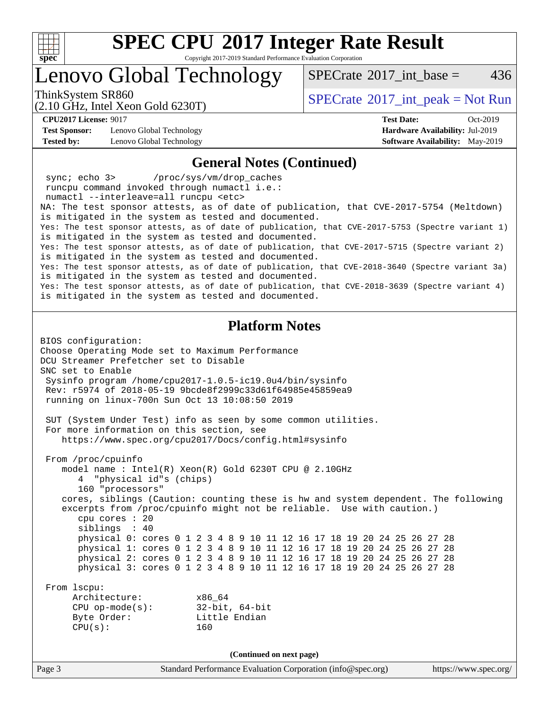

Copyright 2017-2019 Standard Performance Evaluation Corporation

Lenovo Global Technology

[SPECrate](http://www.spec.org/auto/cpu2017/Docs/result-fields.html#SPECrate2017intbase)<sup>®</sup>2017 int base = 436

(2.10 GHz, Intel Xeon Gold 6230T)

ThinkSystem SR860<br>  $SPECTA = Not Run$ <br>  $SPECTA = Not Run$ 

**[CPU2017 License:](http://www.spec.org/auto/cpu2017/Docs/result-fields.html#CPU2017License)** 9017 **[Test Date:](http://www.spec.org/auto/cpu2017/Docs/result-fields.html#TestDate)** Oct-2019

**[Test Sponsor:](http://www.spec.org/auto/cpu2017/Docs/result-fields.html#TestSponsor)** Lenovo Global Technology **[Hardware Availability:](http://www.spec.org/auto/cpu2017/Docs/result-fields.html#HardwareAvailability)** Jul-2019 **[Tested by:](http://www.spec.org/auto/cpu2017/Docs/result-fields.html#Testedby)** Lenovo Global Technology **[Software Availability:](http://www.spec.org/auto/cpu2017/Docs/result-fields.html#SoftwareAvailability)** May-2019

### **[General Notes \(Continued\)](http://www.spec.org/auto/cpu2017/Docs/result-fields.html#GeneralNotes)**

 sync; echo 3> /proc/sys/vm/drop\_caches runcpu command invoked through numactl i.e.: numactl --interleave=all runcpu <etc> NA: The test sponsor attests, as of date of publication, that CVE-2017-5754 (Meltdown) is mitigated in the system as tested and documented. Yes: The test sponsor attests, as of date of publication, that CVE-2017-5753 (Spectre variant 1) is mitigated in the system as tested and documented. Yes: The test sponsor attests, as of date of publication, that CVE-2017-5715 (Spectre variant 2) is mitigated in the system as tested and documented. Yes: The test sponsor attests, as of date of publication, that CVE-2018-3640 (Spectre variant 3a) is mitigated in the system as tested and documented. Yes: The test sponsor attests, as of date of publication, that CVE-2018-3639 (Spectre variant 4) is mitigated in the system as tested and documented.

### **[Platform Notes](http://www.spec.org/auto/cpu2017/Docs/result-fields.html#PlatformNotes)**

Page 3 Standard Performance Evaluation Corporation [\(info@spec.org\)](mailto:info@spec.org) <https://www.spec.org/> BIOS configuration: Choose Operating Mode set to Maximum Performance DCU Streamer Prefetcher set to Disable SNC set to Enable Sysinfo program /home/cpu2017-1.0.5-ic19.0u4/bin/sysinfo Rev: r5974 of 2018-05-19 9bcde8f2999c33d61f64985e45859ea9 running on linux-700n Sun Oct 13 10:08:50 2019 SUT (System Under Test) info as seen by some common utilities. For more information on this section, see <https://www.spec.org/cpu2017/Docs/config.html#sysinfo> From /proc/cpuinfo model name : Intel(R) Xeon(R) Gold 6230T CPU @ 2.10GHz 4 "physical id"s (chips) 160 "processors" cores, siblings (Caution: counting these is hw and system dependent. The following excerpts from /proc/cpuinfo might not be reliable. Use with caution.) cpu cores : 20 siblings : 40 physical 0: cores 0 1 2 3 4 8 9 10 11 12 16 17 18 19 20 24 25 26 27 28 physical 1: cores 0 1 2 3 4 8 9 10 11 12 16 17 18 19 20 24 25 26 27 28 physical 2: cores 0 1 2 3 4 8 9 10 11 12 16 17 18 19 20 24 25 26 27 28 physical 3: cores 0 1 2 3 4 8 9 10 11 12 16 17 18 19 20 24 25 26 27 28 From lscpu: Architecture: x86\_64 CPU op-mode(s): 32-bit, 64-bit Byte Order: Little Endian  $CPU(s):$  160 **(Continued on next page)**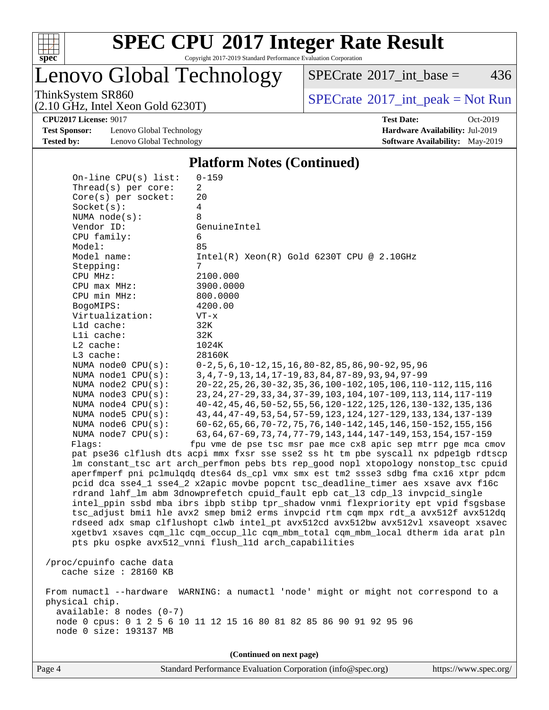

Copyright 2017-2019 Standard Performance Evaluation Corporation

Lenovo Global Technology

 $SPECTate$ <sup>®</sup>[2017\\_int\\_base =](http://www.spec.org/auto/cpu2017/Docs/result-fields.html#SPECrate2017intbase) 436

(2.10 GHz, Intel Xeon Gold 6230T)

ThinkSystem SR860<br>  $(2.10 \text{ GHz. Intel } X_{200}$  Gold 6230T)

**[Test Sponsor:](http://www.spec.org/auto/cpu2017/Docs/result-fields.html#TestSponsor)** Lenovo Global Technology **[Hardware Availability:](http://www.spec.org/auto/cpu2017/Docs/result-fields.html#HardwareAvailability)** Jul-2019 **[Tested by:](http://www.spec.org/auto/cpu2017/Docs/result-fields.html#Testedby)** Lenovo Global Technology **[Software Availability:](http://www.spec.org/auto/cpu2017/Docs/result-fields.html#SoftwareAvailability)** May-2019

**[CPU2017 License:](http://www.spec.org/auto/cpu2017/Docs/result-fields.html#CPU2017License)** 9017 **[Test Date:](http://www.spec.org/auto/cpu2017/Docs/result-fields.html#TestDate)** Oct-2019

#### **[Platform Notes \(Continued\)](http://www.spec.org/auto/cpu2017/Docs/result-fields.html#PlatformNotes)**

|                |                                                                                                                                                                                                                                                                                                                                                                                                                                                               | (Continued on next page)                                                                                                                                                                                                                                                                                                                                                                                                                                                                                                                                                                                                                                                                                                                                                                                                                                                                                                                                                                                                                                                                                                                                                                                                                                                                                                                                                                                                                                                                                                                                                                                                                                                           |
|----------------|---------------------------------------------------------------------------------------------------------------------------------------------------------------------------------------------------------------------------------------------------------------------------------------------------------------------------------------------------------------------------------------------------------------------------------------------------------------|------------------------------------------------------------------------------------------------------------------------------------------------------------------------------------------------------------------------------------------------------------------------------------------------------------------------------------------------------------------------------------------------------------------------------------------------------------------------------------------------------------------------------------------------------------------------------------------------------------------------------------------------------------------------------------------------------------------------------------------------------------------------------------------------------------------------------------------------------------------------------------------------------------------------------------------------------------------------------------------------------------------------------------------------------------------------------------------------------------------------------------------------------------------------------------------------------------------------------------------------------------------------------------------------------------------------------------------------------------------------------------------------------------------------------------------------------------------------------------------------------------------------------------------------------------------------------------------------------------------------------------------------------------------------------------|
| physical chip. | available: 8 nodes (0-7)<br>node 0 size: 193137 MB                                                                                                                                                                                                                                                                                                                                                                                                            | From numactl --hardware WARNING: a numactl 'node' might or might not correspond to a<br>node 0 cpus: 0 1 2 5 6 10 11 12 15 16 80 81 82 85 86 90 91 92 95 96                                                                                                                                                                                                                                                                                                                                                                                                                                                                                                                                                                                                                                                                                                                                                                                                                                                                                                                                                                                                                                                                                                                                                                                                                                                                                                                                                                                                                                                                                                                        |
|                | /proc/cpuinfo cache data<br>cache size : 28160 KB                                                                                                                                                                                                                                                                                                                                                                                                             |                                                                                                                                                                                                                                                                                                                                                                                                                                                                                                                                                                                                                                                                                                                                                                                                                                                                                                                                                                                                                                                                                                                                                                                                                                                                                                                                                                                                                                                                                                                                                                                                                                                                                    |
| Flagg:         | $Core(s)$ per socket:<br>Socket(s):<br>NUMA node(s):<br>Vendor ID:<br>CPU family:<br>Model:<br>Model name:<br>Stepping:<br>CPU MHz:<br>CPU max MHz:<br>CPU min MHz:<br>BogoMIPS:<br>Virtualization:<br>Lld cache:<br>Lli cache:<br>$L2$ cache:<br>L3 cache:<br>NUMA node0 CPU(s):<br>NUMA nodel CPU(s):<br>NUMA $node2$ $CPU(s)$ :<br>NUMA $node3$ $CPU(s)$ :<br>NUMA $node4$ $CPU(s):$<br>NUMA $node5$ $CPU(s):$<br>NUMA node6 CPU(s):<br>NUMA node7 CPU(s): | 20<br>4<br>8<br>GenuineIntel<br>6<br>85<br>$Intel(R) Xeon(R) Gold 6230T CPU @ 2.10GHz$<br>7<br>2100.000<br>3900.0000<br>800.0000<br>4200.00<br>$VT - x$<br>32K<br>32K<br>1024K<br>28160K<br>$0-2, 5, 6, 10-12, 15, 16, 80-82, 85, 86, 90-92, 95, 96$<br>3, 4, 7-9, 13, 14, 17-19, 83, 84, 87-89, 93, 94, 97-99<br>20-22, 25, 26, 30-32, 35, 36, 100-102, 105, 106, 110-112, 115, 116<br>23, 24, 27-29, 33, 34, 37-39, 103, 104, 107-109, 113, 114, 117-119<br>40-42, 45, 46, 50-52, 55, 56, 120-122, 125, 126, 130-132, 135, 136<br>43, 44, 47-49, 53, 54, 57-59, 123, 124, 127-129, 133, 134, 137-139<br>60-62, 65, 66, 70-72, 75, 76, 140-142, 145, 146, 150-152, 155, 156<br>63, 64, 67-69, 73, 74, 77-79, 143, 144, 147-149, 153, 154, 157-159<br>fpu vme de pse tsc msr pae mce cx8 apic sep mtrr pge mca cmov<br>pat pse36 clflush dts acpi mmx fxsr sse sse2 ss ht tm pbe syscall nx pdpelgb rdtscp<br>lm constant_tsc art arch_perfmon pebs bts rep_good nopl xtopology nonstop_tsc cpuid<br>aperfmperf pni pclmulqdq dtes64 ds_cpl vmx smx est tm2 ssse3 sdbg fma cx16 xtpr pdcm<br>pcid dca sse4_1 sse4_2 x2apic movbe popcnt tsc_deadline_timer aes xsave avx f16c<br>rdrand lahf_lm abm 3dnowprefetch cpuid_fault epb cat_13 cdp_13 invpcid_single<br>intel_ppin ssbd mba ibrs ibpb stibp tpr_shadow vnmi flexpriority ept vpid fsgsbase<br>tsc_adjust bmil hle avx2 smep bmi2 erms invpcid rtm cqm mpx rdt_a avx512f avx512dq<br>rdseed adx smap clflushopt clwb intel_pt avx512cd avx512bw avx512vl xsaveopt xsavec<br>xgetbvl xsaves cqm_llc cqm_occup_llc cqm_mbm_total cqm_mbm_local dtherm ida arat pln<br>pts pku ospke avx512_vnni flush_l1d arch_capabilities |
|                | On-line $CPU(s)$ list:<br>Thread(s) per core:                                                                                                                                                                                                                                                                                                                                                                                                                 | $0 - 159$<br>2                                                                                                                                                                                                                                                                                                                                                                                                                                                                                                                                                                                                                                                                                                                                                                                                                                                                                                                                                                                                                                                                                                                                                                                                                                                                                                                                                                                                                                                                                                                                                                                                                                                                     |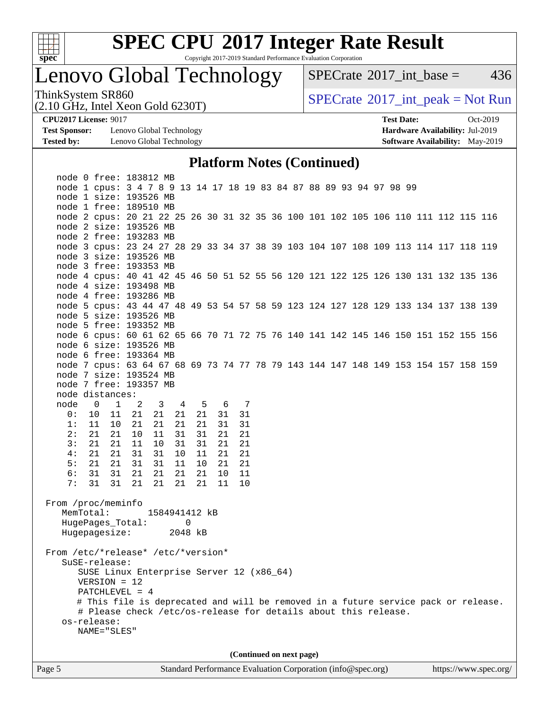

Copyright 2017-2019 Standard Performance Evaluation Corporation

## Lenovo Global Technology

 $SPECTate$ <sup>®</sup>[2017\\_int\\_base =](http://www.spec.org/auto/cpu2017/Docs/result-fields.html#SPECrate2017intbase) 436

(2.10 GHz, Intel Xeon Gold 6230T)

ThinkSystem SR860<br>  $(2.10 \text{ GHz})$  Intel Xeon Gold 6230T)

**[Test Sponsor:](http://www.spec.org/auto/cpu2017/Docs/result-fields.html#TestSponsor)** Lenovo Global Technology **[Hardware Availability:](http://www.spec.org/auto/cpu2017/Docs/result-fields.html#HardwareAvailability)** Jul-2019 **[Tested by:](http://www.spec.org/auto/cpu2017/Docs/result-fields.html#Testedby)** Lenovo Global Technology **[Software Availability:](http://www.spec.org/auto/cpu2017/Docs/result-fields.html#SoftwareAvailability)** May-2019

**[CPU2017 License:](http://www.spec.org/auto/cpu2017/Docs/result-fields.html#CPU2017License)** 9017 **[Test Date:](http://www.spec.org/auto/cpu2017/Docs/result-fields.html#TestDate)** Oct-2019

## **[Platform Notes \(Continued\)](http://www.spec.org/auto/cpu2017/Docs/result-fields.html#PlatformNotes)**

| node 0 free: 183812 MB                                                             |                                                                     |                |       |               |    |    |       |    |    |  |  |                          |  |                                                             |  |  |  |                                                                                    |
|------------------------------------------------------------------------------------|---------------------------------------------------------------------|----------------|-------|---------------|----|----|-------|----|----|--|--|--------------------------|--|-------------------------------------------------------------|--|--|--|------------------------------------------------------------------------------------|
|                                                                                    | node 1 cpus: 3 4 7 8 9 13 14 17 18 19 83 84 87 88 89 93 94 97 98 99 |                |       |               |    |    |       |    |    |  |  |                          |  |                                                             |  |  |  |                                                                                    |
|                                                                                    | node 1 size: 193526 MB                                              |                |       |               |    |    |       |    |    |  |  |                          |  |                                                             |  |  |  |                                                                                    |
| node 1 free: 189510 MB                                                             |                                                                     |                |       |               |    |    |       |    |    |  |  |                          |  |                                                             |  |  |  |                                                                                    |
| node 2 cpus: 20 21 22 25 26 30 31 32 35 36 100 101 102 105 106 110 111 112 115 116 |                                                                     |                |       |               |    |    |       |    |    |  |  |                          |  |                                                             |  |  |  |                                                                                    |
| node 2 size: 193526 MB                                                             |                                                                     |                |       |               |    |    |       |    |    |  |  |                          |  |                                                             |  |  |  |                                                                                    |
| node 2 free: 193283 MB                                                             |                                                                     |                |       |               |    |    |       |    |    |  |  |                          |  |                                                             |  |  |  |                                                                                    |
| node 3 cpus: 23 24 27 28 29 33 34 37 38 39 103 104 107 108 109 113 114 117 118 119 |                                                                     |                |       |               |    |    |       |    |    |  |  |                          |  |                                                             |  |  |  |                                                                                    |
| node 3 size: 193526 MB                                                             |                                                                     |                |       |               |    |    |       |    |    |  |  |                          |  |                                                             |  |  |  |                                                                                    |
| node 3 free: 193353 MB                                                             |                                                                     |                |       |               |    |    |       |    |    |  |  |                          |  |                                                             |  |  |  |                                                                                    |
| node 4 cpus: 40 41 42 45 46 50 51 52 55 56 120 121 122 125 126 130 131 132 135 136 |                                                                     |                |       |               |    |    |       |    |    |  |  |                          |  |                                                             |  |  |  |                                                                                    |
| node 4 size: 193498 MB                                                             |                                                                     |                |       |               |    |    |       |    |    |  |  |                          |  |                                                             |  |  |  |                                                                                    |
| node 4 free: 193286 MB                                                             |                                                                     |                |       |               |    |    |       |    |    |  |  |                          |  |                                                             |  |  |  |                                                                                    |
| node 5 cpus: 43 44 47 48 49 53 54 57 58 59 123 124 127 128 129 133 134 137 138 139 |                                                                     |                |       |               |    |    |       |    |    |  |  |                          |  |                                                             |  |  |  |                                                                                    |
| node 5 size: 193526 MB                                                             |                                                                     |                |       |               |    |    |       |    |    |  |  |                          |  |                                                             |  |  |  |                                                                                    |
| node 5 free: 193352 MB                                                             |                                                                     |                |       |               |    |    |       |    |    |  |  |                          |  |                                                             |  |  |  |                                                                                    |
| node 6 cpus: 60 61 62 65 66 70 71 72 75 76 140 141 142 145 146 150 151 152 155 156 |                                                                     |                |       |               |    |    |       |    |    |  |  |                          |  |                                                             |  |  |  |                                                                                    |
| node 6 size: 193526 MB                                                             |                                                                     |                |       |               |    |    |       |    |    |  |  |                          |  |                                                             |  |  |  |                                                                                    |
| node 6 free: 193364 MB                                                             |                                                                     |                |       |               |    |    |       |    |    |  |  |                          |  |                                                             |  |  |  |                                                                                    |
| node 7 cpus: 63 64 67 68 69 73 74 77 78 79 143 144 147 148 149 153 154 157 158 159 |                                                                     |                |       |               |    |    |       |    |    |  |  |                          |  |                                                             |  |  |  |                                                                                    |
| node 7 size: 193524 MB                                                             |                                                                     |                |       |               |    |    |       |    |    |  |  |                          |  |                                                             |  |  |  |                                                                                    |
| node 7 free: 193357 MB                                                             |                                                                     |                |       |               |    |    |       |    |    |  |  |                          |  |                                                             |  |  |  |                                                                                    |
| node distances:                                                                    |                                                                     |                |       |               |    |    |       |    |    |  |  |                          |  |                                                             |  |  |  |                                                                                    |
| node                                                                               | $\overline{\phantom{0}}$                                            | $\overline{1}$ | 2     | 3 4           |    |    | 5 6 7 |    |    |  |  |                          |  |                                                             |  |  |  |                                                                                    |
| 0:                                                                                 | 10                                                                  | 11             | 21    | 21            | 21 | 21 |       | 31 | 31 |  |  |                          |  |                                                             |  |  |  |                                                                                    |
| 1:                                                                                 | 11                                                                  |                | 10 21 | 21            | 21 | 21 |       | 31 | 31 |  |  |                          |  |                                                             |  |  |  |                                                                                    |
| 2:                                                                                 | 21                                                                  | 21             | 10    | 11            | 31 | 31 |       | 21 | 21 |  |  |                          |  |                                                             |  |  |  |                                                                                    |
| 3:                                                                                 | 21                                                                  |                | 21 11 | 10            | 31 | 31 |       | 21 | 21 |  |  |                          |  |                                                             |  |  |  |                                                                                    |
| 4:                                                                                 | 21                                                                  |                | 21 31 | 31            | 10 | 11 |       | 21 | 21 |  |  |                          |  |                                                             |  |  |  |                                                                                    |
| 5:                                                                                 | 21                                                                  | 21             | 31    | 31            | 11 | 10 |       | 21 | 21 |  |  |                          |  |                                                             |  |  |  |                                                                                    |
| 6 :                                                                                | 31                                                                  | 31             | 21    | 21            | 21 | 21 |       | 10 | 11 |  |  |                          |  |                                                             |  |  |  |                                                                                    |
| 7:                                                                                 | 31                                                                  | 31             | 21    | 21            | 21 | 21 |       | 11 | 10 |  |  |                          |  |                                                             |  |  |  |                                                                                    |
|                                                                                    |                                                                     |                |       |               |    |    |       |    |    |  |  |                          |  |                                                             |  |  |  |                                                                                    |
| From /proc/meminfo                                                                 |                                                                     |                |       |               |    |    |       |    |    |  |  |                          |  |                                                             |  |  |  |                                                                                    |
|                                                                                    | MemTotal:                                                           |                |       | 1584941412 kB |    |    |       |    |    |  |  |                          |  |                                                             |  |  |  |                                                                                    |
|                                                                                    | HugePages_Total:                                                    |                |       |               |    | 0  |       |    |    |  |  |                          |  |                                                             |  |  |  |                                                                                    |
|                                                                                    | Hugepagesize: 2048 kB                                               |                |       |               |    |    |       |    |    |  |  |                          |  |                                                             |  |  |  |                                                                                    |
|                                                                                    |                                                                     |                |       |               |    |    |       |    |    |  |  |                          |  |                                                             |  |  |  |                                                                                    |
| From /etc/*release* /etc/*version*                                                 |                                                                     |                |       |               |    |    |       |    |    |  |  |                          |  |                                                             |  |  |  |                                                                                    |
|                                                                                    | SuSE-release:                                                       |                |       |               |    |    |       |    |    |  |  |                          |  |                                                             |  |  |  |                                                                                    |
|                                                                                    | SUSE Linux Enterprise Server 12 (x86_64)                            |                |       |               |    |    |       |    |    |  |  |                          |  |                                                             |  |  |  |                                                                                    |
|                                                                                    | $VERSION = 12$                                                      |                |       |               |    |    |       |    |    |  |  |                          |  |                                                             |  |  |  |                                                                                    |
|                                                                                    | PATCHLEVEL = $4$                                                    |                |       |               |    |    |       |    |    |  |  |                          |  |                                                             |  |  |  |                                                                                    |
|                                                                                    |                                                                     |                |       |               |    |    |       |    |    |  |  |                          |  |                                                             |  |  |  | # This file is deprecated and will be removed in a future service pack or release. |
|                                                                                    | # Please check /etc/os-release for details about this release.      |                |       |               |    |    |       |    |    |  |  |                          |  |                                                             |  |  |  |                                                                                    |
|                                                                                    | os-release:                                                         |                |       |               |    |    |       |    |    |  |  |                          |  |                                                             |  |  |  |                                                                                    |
|                                                                                    | NAME="SLES"                                                         |                |       |               |    |    |       |    |    |  |  |                          |  |                                                             |  |  |  |                                                                                    |
|                                                                                    |                                                                     |                |       |               |    |    |       |    |    |  |  |                          |  |                                                             |  |  |  |                                                                                    |
|                                                                                    |                                                                     |                |       |               |    |    |       |    |    |  |  | (Continued on next page) |  |                                                             |  |  |  |                                                                                    |
|                                                                                    |                                                                     |                |       |               |    |    |       |    |    |  |  |                          |  | Standard Performance Evaluation Corporation (info@spec.org) |  |  |  |                                                                                    |
| Page 5                                                                             |                                                                     |                |       |               |    |    |       |    |    |  |  |                          |  |                                                             |  |  |  | https://www.spec.org/                                                              |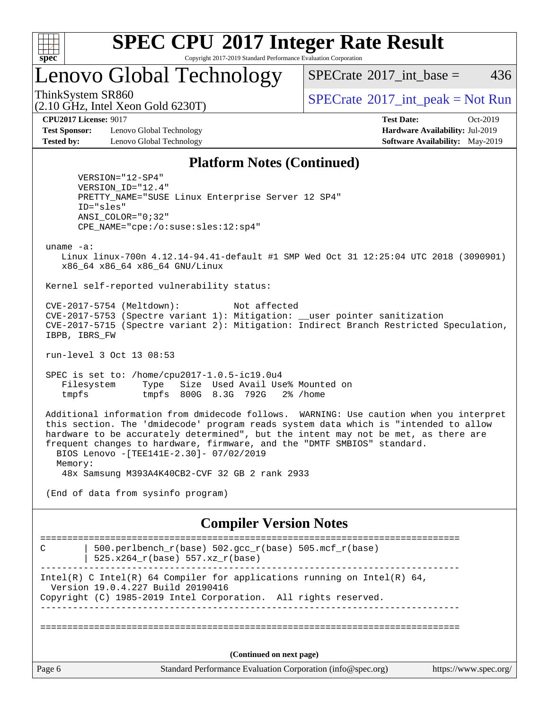

Copyright 2017-2019 Standard Performance Evaluation Corporation

Lenovo Global Technology

[SPECrate](http://www.spec.org/auto/cpu2017/Docs/result-fields.html#SPECrate2017intbase)<sup>®</sup>2017 int base = 436

(2.10 GHz, Intel Xeon Gold 6230T)

ThinkSystem SR860<br>  $SPECTR_{10}$  [SPECrate](http://www.spec.org/auto/cpu2017/Docs/result-fields.html#SPECrate2017intpeak)®[2017\\_int\\_peak = N](http://www.spec.org/auto/cpu2017/Docs/result-fields.html#SPECrate2017intpeak)ot Run

**[Test Sponsor:](http://www.spec.org/auto/cpu2017/Docs/result-fields.html#TestSponsor)** Lenovo Global Technology **[Hardware Availability:](http://www.spec.org/auto/cpu2017/Docs/result-fields.html#HardwareAvailability)** Jul-2019 **[Tested by:](http://www.spec.org/auto/cpu2017/Docs/result-fields.html#Testedby)** Lenovo Global Technology **[Software Availability:](http://www.spec.org/auto/cpu2017/Docs/result-fields.html#SoftwareAvailability)** May-2019

**[CPU2017 License:](http://www.spec.org/auto/cpu2017/Docs/result-fields.html#CPU2017License)** 9017 **[Test Date:](http://www.spec.org/auto/cpu2017/Docs/result-fields.html#TestDate)** Oct-2019

## **[Platform Notes \(Continued\)](http://www.spec.org/auto/cpu2017/Docs/result-fields.html#PlatformNotes)**

 VERSION="12-SP4" VERSION\_ID="12.4" PRETTY\_NAME="SUSE Linux Enterprise Server 12 SP4" ID="sles" ANSI\_COLOR="0;32" CPE\_NAME="cpe:/o:suse:sles:12:sp4"

uname -a:

 Linux linux-700n 4.12.14-94.41-default #1 SMP Wed Oct 31 12:25:04 UTC 2018 (3090901) x86\_64 x86\_64 x86\_64 GNU/Linux

Kernel self-reported vulnerability status:

 CVE-2017-5754 (Meltdown): Not affected CVE-2017-5753 (Spectre variant 1): Mitigation: \_\_user pointer sanitization CVE-2017-5715 (Spectre variant 2): Mitigation: Indirect Branch Restricted Speculation, IBPB, IBRS\_FW

run-level 3 Oct 13 08:53

 SPEC is set to: /home/cpu2017-1.0.5-ic19.0u4 Filesystem Type Size Used Avail Use% Mounted on tmpfs tmpfs 800G 8.3G 792G 2% /home

 Additional information from dmidecode follows. WARNING: Use caution when you interpret this section. The 'dmidecode' program reads system data which is "intended to allow hardware to be accurately determined", but the intent may not be met, as there are frequent changes to hardware, firmware, and the "DMTF SMBIOS" standard. BIOS Lenovo -[TEE141E-2.30]- 07/02/2019 Memory: 48x Samsung M393A4K40CB2-CVF 32 GB 2 rank 2933

(End of data from sysinfo program)

### **[Compiler Version Notes](http://www.spec.org/auto/cpu2017/Docs/result-fields.html#CompilerVersionNotes)**

Page 6 Standard Performance Evaluation Corporation [\(info@spec.org\)](mailto:info@spec.org) <https://www.spec.org/> ============================================================================== C  $\vert$  500.perlbench\_r(base) 502.gcc\_r(base) 505.mcf\_r(base) | 525.x264\_r(base) 557.xz\_r(base) ------------------------------------------------------------------------------ Intel(R) C Intel(R) 64 Compiler for applications running on Intel(R)  $64$ , Version 19.0.4.227 Build 20190416 Copyright (C) 1985-2019 Intel Corporation. All rights reserved. ------------------------------------------------------------------------------ ============================================================================== **(Continued on next page)**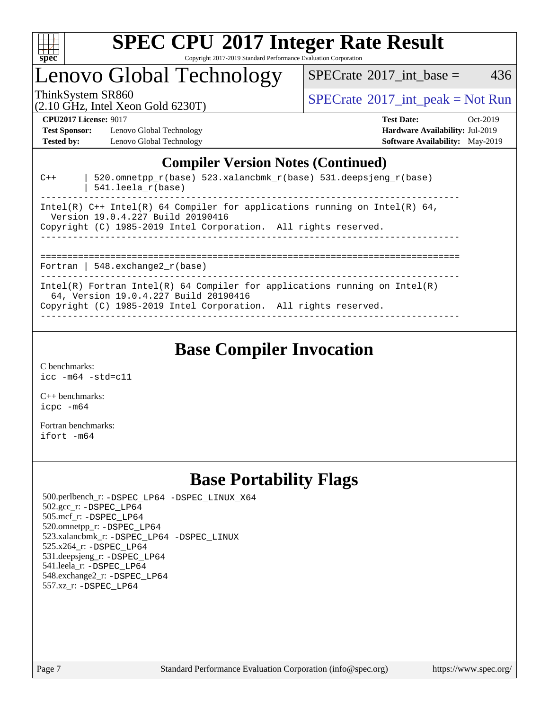

Copyright 2017-2019 Standard Performance Evaluation Corporation

## Lenovo Global Technology

 $SPECTate$ <sup>®</sup>[2017\\_int\\_base =](http://www.spec.org/auto/cpu2017/Docs/result-fields.html#SPECrate2017intbase) 436

(2.10 GHz, Intel Xeon Gold 6230T)

ThinkSystem SR860<br>  $SPECTA = Not Run$ <br>  $SPECTA = Not Run$ 

**[CPU2017 License:](http://www.spec.org/auto/cpu2017/Docs/result-fields.html#CPU2017License)** 9017 **[Test Date:](http://www.spec.org/auto/cpu2017/Docs/result-fields.html#TestDate)** Oct-2019

**[Test Sponsor:](http://www.spec.org/auto/cpu2017/Docs/result-fields.html#TestSponsor)** Lenovo Global Technology **[Hardware Availability:](http://www.spec.org/auto/cpu2017/Docs/result-fields.html#HardwareAvailability)** Jul-2019 **[Tested by:](http://www.spec.org/auto/cpu2017/Docs/result-fields.html#Testedby)** Lenovo Global Technology **[Software Availability:](http://www.spec.org/auto/cpu2017/Docs/result-fields.html#SoftwareAvailability)** May-2019

**[Compiler Version Notes \(Continued\)](http://www.spec.org/auto/cpu2017/Docs/result-fields.html#CompilerVersionNotes)**  $C++$  | 520.omnetpp\_r(base) 523.xalancbmk\_r(base) 531.deepsjeng\_r(base) | 541.leela\_r(base) ------------------------------------------------------------------------------ Intel(R)  $C++$  Intel(R) 64 Compiler for applications running on Intel(R) 64, Version 19.0.4.227 Build 20190416 Copyright (C) 1985-2019 Intel Corporation. All rights reserved. ------------------------------------------------------------------------------ ============================================================================== Fortran | 548.exchange2\_r(base) Intel(R) Fortran Intel(R) 64 Compiler for applications running on Intel(R) 64, Version 19.0.4.227 Build 20190416

Copyright (C) 1985-2019 Intel Corporation. All rights reserved.

------------------------------------------------------------------------------

## **[Base Compiler Invocation](http://www.spec.org/auto/cpu2017/Docs/result-fields.html#BaseCompilerInvocation)**

[C benchmarks](http://www.spec.org/auto/cpu2017/Docs/result-fields.html#Cbenchmarks): [icc -m64 -std=c11](http://www.spec.org/cpu2017/results/res2019q4/cpu2017-20191014-19147.flags.html#user_CCbase_intel_icc_64bit_c11_33ee0cdaae7deeeab2a9725423ba97205ce30f63b9926c2519791662299b76a0318f32ddfffdc46587804de3178b4f9328c46fa7c2b0cd779d7a61945c91cd35)

[C++ benchmarks:](http://www.spec.org/auto/cpu2017/Docs/result-fields.html#CXXbenchmarks) [icpc -m64](http://www.spec.org/cpu2017/results/res2019q4/cpu2017-20191014-19147.flags.html#user_CXXbase_intel_icpc_64bit_4ecb2543ae3f1412ef961e0650ca070fec7b7afdcd6ed48761b84423119d1bf6bdf5cad15b44d48e7256388bc77273b966e5eb805aefd121eb22e9299b2ec9d9)

[Fortran benchmarks](http://www.spec.org/auto/cpu2017/Docs/result-fields.html#Fortranbenchmarks): [ifort -m64](http://www.spec.org/cpu2017/results/res2019q4/cpu2017-20191014-19147.flags.html#user_FCbase_intel_ifort_64bit_24f2bb282fbaeffd6157abe4f878425411749daecae9a33200eee2bee2fe76f3b89351d69a8130dd5949958ce389cf37ff59a95e7a40d588e8d3a57e0c3fd751)

## **[Base Portability Flags](http://www.spec.org/auto/cpu2017/Docs/result-fields.html#BasePortabilityFlags)**

 500.perlbench\_r: [-DSPEC\\_LP64](http://www.spec.org/cpu2017/results/res2019q4/cpu2017-20191014-19147.flags.html#b500.perlbench_r_basePORTABILITY_DSPEC_LP64) [-DSPEC\\_LINUX\\_X64](http://www.spec.org/cpu2017/results/res2019q4/cpu2017-20191014-19147.flags.html#b500.perlbench_r_baseCPORTABILITY_DSPEC_LINUX_X64) 502.gcc\_r: [-DSPEC\\_LP64](http://www.spec.org/cpu2017/results/res2019q4/cpu2017-20191014-19147.flags.html#suite_basePORTABILITY502_gcc_r_DSPEC_LP64) 505.mcf\_r: [-DSPEC\\_LP64](http://www.spec.org/cpu2017/results/res2019q4/cpu2017-20191014-19147.flags.html#suite_basePORTABILITY505_mcf_r_DSPEC_LP64) 520.omnetpp\_r: [-DSPEC\\_LP64](http://www.spec.org/cpu2017/results/res2019q4/cpu2017-20191014-19147.flags.html#suite_basePORTABILITY520_omnetpp_r_DSPEC_LP64) 523.xalancbmk\_r: [-DSPEC\\_LP64](http://www.spec.org/cpu2017/results/res2019q4/cpu2017-20191014-19147.flags.html#suite_basePORTABILITY523_xalancbmk_r_DSPEC_LP64) [-DSPEC\\_LINUX](http://www.spec.org/cpu2017/results/res2019q4/cpu2017-20191014-19147.flags.html#b523.xalancbmk_r_baseCXXPORTABILITY_DSPEC_LINUX) 525.x264\_r: [-DSPEC\\_LP64](http://www.spec.org/cpu2017/results/res2019q4/cpu2017-20191014-19147.flags.html#suite_basePORTABILITY525_x264_r_DSPEC_LP64) 531.deepsjeng\_r: [-DSPEC\\_LP64](http://www.spec.org/cpu2017/results/res2019q4/cpu2017-20191014-19147.flags.html#suite_basePORTABILITY531_deepsjeng_r_DSPEC_LP64) 541.leela\_r: [-DSPEC\\_LP64](http://www.spec.org/cpu2017/results/res2019q4/cpu2017-20191014-19147.flags.html#suite_basePORTABILITY541_leela_r_DSPEC_LP64) 548.exchange2\_r: [-DSPEC\\_LP64](http://www.spec.org/cpu2017/results/res2019q4/cpu2017-20191014-19147.flags.html#suite_basePORTABILITY548_exchange2_r_DSPEC_LP64) 557.xz\_r: [-DSPEC\\_LP64](http://www.spec.org/cpu2017/results/res2019q4/cpu2017-20191014-19147.flags.html#suite_basePORTABILITY557_xz_r_DSPEC_LP64)